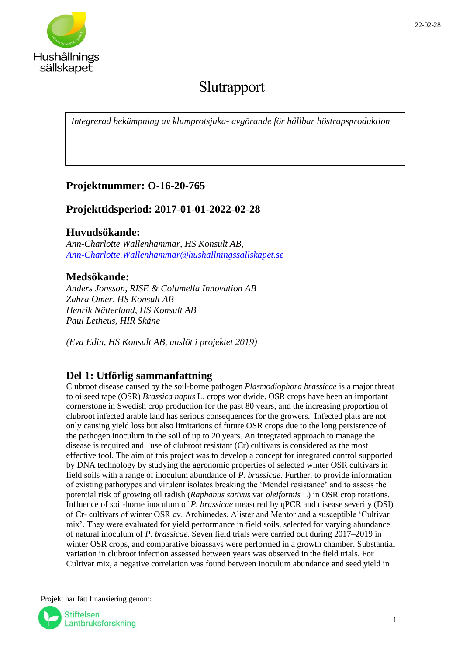

# Slutrapport

*Integrerad bekämpning av klumprotsjuka- avgörande för hållbar höstrapsproduktion*

# **Projektnummer: O-16-20-765**

# **Projekttidsperiod: 2017-01-01-2022-02-28**

# **Huvudsökande:**

*Ann-Charlotte Wallenhammar, HS Konsult AB, [Ann-Charlotte.Wallenhammar@hushallningssallskapet.se](mailto:Ann-Charlotte.Wallenhammar@hushallningssallskapet.se)*

# **Medsökande:**

*Anders Jonsson, RISE & Columella Innovation AB Zahra Omer, HS Konsult AB Henrik Nätterlund, HS Konsult AB Paul Letheus, HIR Skåne*

*(Eva Edin, HS Konsult AB, anslöt i projektet 2019)*

# **Del 1: Utförlig sammanfattning**

Clubroot disease caused by the soil-borne pathogen *Plasmodiophora brassicae* is a major threat to oilseed rape (OSR) *Brassica napus* L. crops worldwide. OSR crops have been an important cornerstone in Swedish crop production for the past 80 years, and the increasing proportion of clubroot infected arable land has serious consequences for the growers. Infected plats are not only causing yield loss but also limitations of future OSR crops due to the long persistence of the pathogen inoculum in the soil of up to 20 years. An integrated approach to manage the disease is required and use of clubroot resistant (Cr) cultivars is considered as the most effective tool. The aim of this project was to develop a concept for integrated control supported by DNA technology by studying the agronomic properties of selected winter OSR cultivars in field soils with a range of inoculum abundance of *P. brassicae*. Further, to provide information of existing pathotypes and virulent isolates breaking the 'Mendel resistance' and to assess the potential risk of growing oil radish (*Raphanus sativus* var *oleiformis* L) in OSR crop rotations. Influence of soil-borne inoculum of *P. brassicae* measured by qPCR and disease severity (DSI) of Cr- cultivars of winter OSR cv. Archimedes, Alister and Mentor and a susceptible 'Cultivar mix'. They were evaluated for yield performance in field soils, selected for varying abundance of natural inoculum of *P. brassicae*. Seven field trials were carried out during 2017–2019 in winter OSR crops, and comparative bioassays were performed in a growth chamber. Substantial variation in clubroot infection assessed between years was observed in the field trials. For Cultivar mix, a negative correlation was found between inoculum abundance and seed yield in

Projekt har fått finansiering genom:

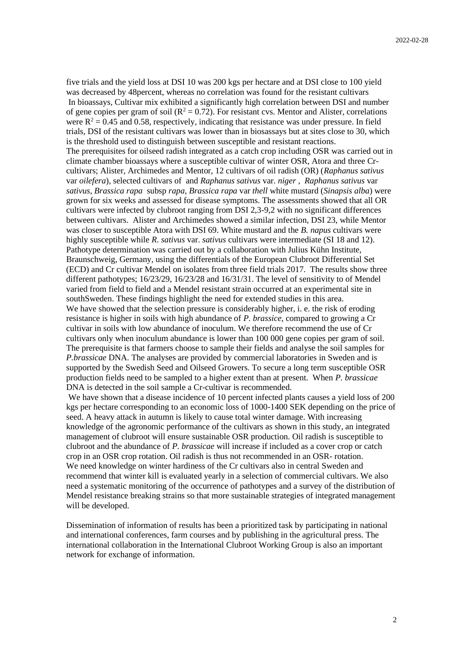five trials and the yield loss at DSI 10 was 200 kgs per hectare and at DSI close to 100 yield was decreased by 48percent, whereas no correlation was found for the resistant cultivars In bioassays, Cultivar mix exhibited a significantly high correlation between DSI and number of gene copies per gram of soil ( $R^2 = 0.72$ ). For resistant cvs. Mentor and Alister, correlations were  $R^2 = 0.45$  and 0.58, respectively, indicating that resistance was under pressure. In field trials, DSI of the resistant cultivars was lower than in biosassays but at sites close to 30, which is the threshold used to distinguish between susceptible and resistant reactions. The prerequisites for oilseed radish integrated as a catch crop including OSR was carried out in climate chamber bioassays where a susceptible cultivar of winter OSR, Atora and three Crcultivars; Alister, Archimedes and Mentor, 12 cultivars of oil radish (OR) (*Raphanus sativus* var *oilefera*), selected cultivars of and *Raphanus sativus* var. *niger* , *Raphanus sativus* var *sativus*, *Brassica rapa* subsp *rapa*, *Brassica rapa* var *thell* white mustard (*Sinapsis alba*) were grown for six weeks and assessed for disease symptoms. The assessments showed that all OR cultivars were infected by clubroot ranging from DSI 2,3-9,2 with no significant differences between cultivars. Alister and Archimedes showed a similar infection, DSI 23, while Mentor was closer to susceptible Atora with DSI 69. White mustard and the *B. napus* cultivars were highly susceptible while *R. sativus* var. *sativus* cultivars were intermediate (SI 18 and 12). Pathotype determination was carried out by a collaboration with Julius Kühn Institute, Braunschweig, Germany, using the differentials of the European Clubroot Differential Set (ECD) and Cr cultivar Mendel on isolates from three field trials 2017. The results show three different pathotypes; 16/23/29, 16/23/28 and 16/31/31. The level of sensitivity to of Mendel varied from field to field and a Mendel resistant strain occurred at an experimental site in southSweden. These findings highlight the need for extended studies in this area. We have showed that the selection pressure is considerably higher, i. e. the risk of eroding resistance is higher in soils with high abundance of *P. brassice*, compared to growing a Cr cultivar in soils with low abundance of inoculum. We therefore recommend the use of Cr cultivars only when inoculum abundance is lower than 100 000 gene copies per gram of soil. The prerequisite is that farmers choose to sample their fields and analyse the soil samples for *P.brassicae* DNA. The analyses are provided by commercial laboratories in Sweden and is supported by the Swedish Seed and Oilseed Growers. To secure a long term susceptible OSR production fields need to be sampled to a higher extent than at present. When *P. brassicae*  DNA is detected in the soil sample a Cr-cultivar is recommended.

We have shown that a disease incidence of 10 percent infected plants causes a yield loss of 200 kgs per hectare corresponding to an economic loss of 1000-1400 SEK depending on the price of seed. A heavy attack in autumn is likely to cause total winter damage. With increasing knowledge of the agronomic performance of the cultivars as shown in this study, an integrated management of clubroot will ensure sustainable OSR production. Oil radish is susceptible to clubroot and the abundance of *P. brassicae* will increase if included as a cover crop or catch crop in an OSR crop rotation. Oil radish is thus not recommended in an OSR- rotation. We need knowledge on winter hardiness of the Cr cultivars also in central Sweden and recommend that winter kill is evaluated yearly in a selection of commercial cultivars. We also need a systematic monitoring of the occurrence of pathotypes and a survey of the distribution of Mendel resistance breaking strains so that more sustainable strategies of integrated management will be developed.

Dissemination of information of results has been a prioritized task by participating in national and international conferences, farm courses and by publishing in the agricultural press. The international collaboration in the International Clubroot Working Group is also an important network for exchange of information.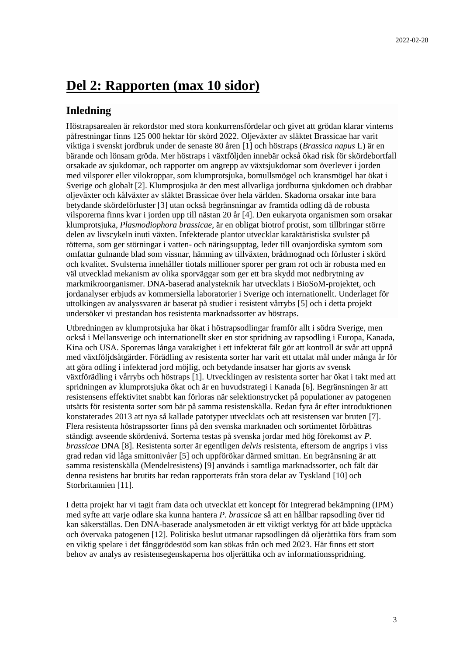# **Del 2: Rapporten (max 10 sidor)**

# **Inledning**

Höstrapsarealen är rekordstor med stora konkurrensfördelar och givet att grödan klarar vinterns påfrestningar finns 125 000 hektar för skörd 2022. Oljeväxter av släktet Brassicae har varit viktiga i svenskt jordbruk under de senaste 80 åren [1] och höstraps (*Brassica napus* L) är en bärande och lönsam gröda. Mer höstraps i växtföljden innebär också ökad risk för skördebortfall orsakade av sjukdomar, och rapporter om angrepp av växtsjukdomar som överlever i jorden med vilsporer eller vilokroppar, som klumprotsjuka, bomullsmögel och kransmögel har ökat i Sverige och globalt [2]. Klumprosjuka är den mest allvarliga jordburna sjukdomen och drabbar oljeväxter och kålväxter av släktet Brassicae över hela världen. Skadorna orsakar inte bara betydande skördeförluster [3] utan också begränsningar av framtida odling då de robusta vilsporerna finns kvar i jorden upp till nästan 20 år [4]. Den eukaryota organismen som orsakar klumprotsjuka, *Plasmodiophora brassicae*, är en obligat biotrof protist, som tillbringar större delen av livscykeln inuti växten. Infekterade plantor utvecklar karaktäristiska svulster på rötterna, som ger störningar i vatten- och näringsupptag, leder till ovanjordiska symtom som omfattar gulnande blad som vissnar, hämning av tillväxten, brådmognad och förluster i skörd och kvalitet. Svulsterna innehåller tiotals millioner sporer per gram rot och är robusta med en väl utvecklad mekanism av olika sporväggar som ger ett bra skydd mot nedbrytning av markmikroorganismer. DNA-baserad analysteknik har utvecklats i BioSoM-projektet, och jordanalyser erbjuds av kommersiella laboratorier i Sverige och internationellt. Underlaget för uttolkingen av analyssvaren är baserat på studier i resistent vårrybs [5] och i detta projekt undersöker vi prestandan hos resistenta marknadssorter av höstraps.

Utbredningen av klumprotsjuka har ökat i höstrapsodlingar framför allt i södra Sverige, men också i Mellansverige och internationellt sker en stor spridning av rapsodling i Europa, Kanada, Kina och USA. Sporernas långa varaktighet i ett infekterat fält gör att kontroll är svår att uppnå med växtföljdsåtgärder. Förädling av resistenta sorter har varit ett uttalat mål under många år för att göra odling i infekterad jord möjlig, och betydande insatser har gjorts av svensk växtförädling i vårrybs och höstraps [1]. Utvecklingen av resistenta sorter har ökat i takt med att spridningen av klumprotsjuka ökat och är en huvudstrategi i Kanada [6]. Begränsningen är att resistensens effektivitet snabbt kan förloras när selektionstrycket på populationer av patogenen utsätts för resistenta sorter som bär på samma resistenskälla. Redan fyra år efter introduktionen konstaterades 2013 att nya så kallade patotyper utvecklats och att resistensen var bruten [7]. Flera resistenta höstrapssorter finns på den svenska marknaden och sortimentet förbättras ständigt avseende skördenivå. Sorterna testas på svenska jordar med hög förekomst av *P. brassicae* DNA [8]. Resistenta sorter är egentligen *delvis* resistenta, eftersom de angrips i viss grad redan vid låga smittonivåer [5] och uppförökar därmed smittan. En begränsning är att samma resistenskälla (Mendelresistens) [9] används i samtliga marknadssorter, och fält där denna resistens har brutits har redan rapporterats från stora delar av Tyskland [10] och Storbritannien [11].

I detta projekt har vi tagit fram data och utvecklat ett koncept för Integrerad bekämpning (IPM) med syfte att varje odlare ska kunna hantera *P. brassicae* så att en hållbar rapsodling över tid kan säkerställas. Den DNA-baserade analysmetoden är ett viktigt verktyg för att både upptäcka och övervaka patogenen [12]. Politiska beslut utmanar rapsodlingen då oljerättika förs fram som en viktig spelare i det fånggrödestöd som kan sökas från och med 2023. Här finns ett stort behov av analys av resistensegenskaperna hos oljerättika och av informationsspridning.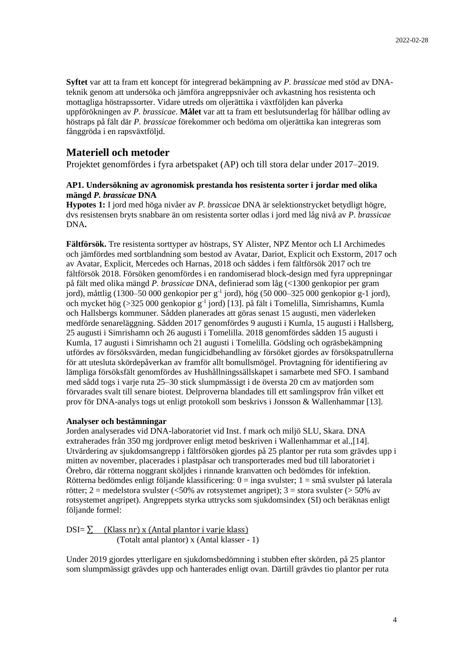**Syftet** var att ta fram ett koncept för integrerad bekämpning av *P. brassicae* med stöd av DNAteknik genom att undersöka och jämföra angreppsnivåer och avkastning hos resistenta och mottagliga höstrapssorter. Vidare utreds om oljerättika i växtföljden kan påverka uppförökningen av *P. brassicae*. **Målet** var att ta fram ett beslutsunderlag för hållbar odling av höstraps på fält där *P. brassicae* förekommer och bedöma om oljerättika kan integreras som fånggröda i en rapsväxtföljd.

## **Materiell och metoder**

Projektet genomfördes i fyra arbetspaket (AP) och till stora delar under 2017–2019.

## **AP1. Undersökning av agronomisk prestanda hos resistenta sorter i jordar med olika mängd** *P. brassicae* **DNA**

**Hypotes 1:** I jord med höga nivåer av *P. brassicae* DNA är selektionstrycket betydligt högre, dvs resistensen bryts snabbare än om resistenta sorter odlas i jord med låg nivå av *P. brassicae* DNA**.**

**Fältförsök.** Tre resistenta sorttyper av höstraps, SY Alister, NPZ Mentor och LI Archimedes och jämfördes med sortblandning som bestod av Avatar, Dariot, Explicit och Exstorm, 2017 och av Avatar, Explicit, Mercedes och Harnas, 2018 och såddes i fem fältförsök 2017 och tre fältförsök 2018. Försöken genomfördes i en randomiserad block-design med fyra upprepningar på fält med olika mängd *P. brassicae* DNA, definierad som låg (<1300 genkopior per gram jord), måttlig (1300–50 000 genkopior per g-1 jord), hög (50 000–325 000 genkopior g-1 jord), och mycket hög (>325 000 genkopior g-1 jord) [13]. på fält i Tomelilla, Simrishamns, Kumla och Hallsbergs kommuner. Sådden planerades att göras senast 15 augusti, men väderleken medförde senareläggning. Sådden 2017 genomfördes 9 augusti i Kumla, 15 augusti i Hallsberg, 25 augusti i Simrishamn och 26 augusti i Tomelilla. 2018 genomfördes sådden 15 augusti i Kumla, 17 augusti i Simrishamn och 21 augusti i Tomelilla. Gödsling och ogräsbekämpning utfördes av försöksvärden, medan fungicidbehandling av försöket gjordes av försökspatrullerna för att utesluta skördepåverkan av framför allt bomullsmögel. Provtagning för identifiering av lämpliga försöksfält genomfördes av Hushållningssällskapet i samarbete med SFO. I samband med sådd togs i varje ruta 25–30 stick slumpmässigt i de översta 20 cm av matjorden som förvarades svalt till senare biotest. Delproverna blandades till ett samlingsprov från vilket ett prov för DNA-analys togs ut enligt protokoll som beskrivs i Jonsson & Wallenhammar [13].

## **Analyser och bestämningar**

Jorden analyserades vid DNA-laboratoriet vid Inst. f mark och miljö SLU, Skara. DNA extraherades från 350 mg jordprover enligt metod beskriven i Wallenhammar et al.,[14]. Utvärdering av sjukdomsangrepp i fältförsöken gjordes på 25 plantor per ruta som grävdes upp i mitten av november, placerades i plastpåsar och transporterades med bud till laboratoriet i Örebro, där rötterna noggrant sköljdes i rinnande kranvatten och bedömdes för infektion. Rötterna bedömdes enligt följande klassificering:  $0 =$ inga svulster;  $1 =$ små svulster på laterala rötter; 2 = medelstora svulster (<50% av rotsystemet angripet); 3 = stora svulster (> 50% av rotsystemet angripet). Angreppets styrka uttrycks som sjukdomsindex (SI) och beräknas enligt följande formel:

DSI=  $\Sigma$  (Klass nr) x (Antal plantor i varje klass) (Totalt antal plantor) x (Antal klasser - 1)

Under 2019 gjordes ytterligare en sjukdomsbedömning i stubben efter skörden, på 25 plantor som slumpmässigt grävdes upp och hanterades enligt ovan. Därtill grävdes tio plantor per ruta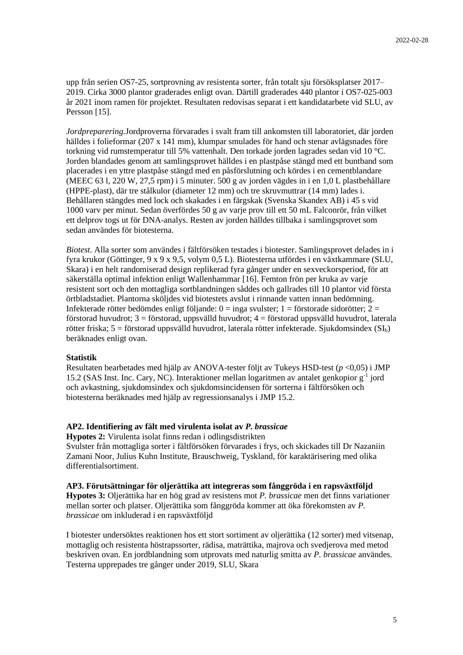upp från serien OS7-25, sortprovning av resistenta sorter, från totalt sju försöksplatser 2017– 2019. Cirka 3000 plantor graderades enligt ovan. Därtill graderades 440 plantor i OS7-025-003 år 2021 inom ramen för projektet. Resultaten redovisas separat i ett kandidatarbete vid SLU, av Persson [15].

*Jordpreparering.*Jordproverna förvarades i svalt fram till ankomsten till laboratoriet, där jorden hälldes i folieformar (207 x 141 mm), klumpar smulades för hand och stenar avlägsnades före torkning vid rumstemperatur till 5% vattenhalt. Den torkade jorden lagrades sedan vid 10 °C. Jorden blandades genom att samlingsprovet hälldes i en plastpåse stängd med ett buntband som placerades i en yttre plastpåse stängd med en påsförslutning och kördes i en cementblandare (MEEC 63 l, 220 W, 27,5 rpm) i 5 minuter. 500 g av jorden vägdes in i en 1,0 L plastbehållare (HPPE-plast), där tre stålkulor (diameter 12 mm) och tre skruvmuttrar (14 mm) lades i. Behållaren stängdes med lock och skakades i en färgskak (Svenska Skandex AB) i 45 s vid 1000 varv per minut. Sedan överfördes 50 g av varje prov till ett 50 mL Falconrör, från vilket ett delprov togs ut för DNA-analys. Resten av jorden hälldes tillbaka i samlingsprovet som sedan användes för biotesterna.

*Biotest.* Alla sorter som användes i fältförsöken testades i biotester. Samlingsprovet delades in i fyra krukor (Göttinger, 9 x 9 x 9,5, volym 0,5 L). Biotesterna utfördes i en växtkammare (SLU, Skara) i en helt randomiserad design replikerad fyra gånger under en sexveckorsperiod, för att säkerställa optimal infektion enligt Wallenhammar [16]. Femton frön per kruka av varje resistent sort och den mottagliga sortblandningen såddes och gallrades till 10 plantor vid första örtbladstadiet. Plantorna sköljdes vid biotestets avslut i rinnande vatten innan bedömning. Infekterade rötter bedömdes enligt följande:  $0 =$ inga svulster;  $1 =$  förstorade sidorötter;  $2 =$ förstorad huvudrot; 3 = förstorad, uppsvälld huvudrot; 4 = förstorad uppsvälld huvudrot, laterala rötter friska;  $5 =$  förstorad uppsvälld huvudrot, laterala rötter infekterade. Sjukdomsindex  $(SI_b)$ beräknades enligt ovan.

#### **Statistik**

Resultaten bearbetades med hjälp av ANOVA-tester följt av Tukeys HSD-test (*p* <0,05) i JMP 15.2 (SAS Inst. Inc. Cary, NC). Interaktioner mellan logaritmen av antalet genkopior g-1 jord och avkastning, sjukdomsindex och sjukdomsincidensen för sorterna i fältförsöken och biotesterna beräknades med hjälp av regressionsanalys i JMP 15.2.

#### **AP2. Identifiering av fält med virulenta isolat av** *P. brassicae*

**Hypotes 2:** Virulenta isolat finns redan i odlingsdistrikten

Svulster från mottagliga sorter i fältförsöken förvarades i frys, och skickades till Dr Nazaniin Zamani Noor, Julius Kuhn Institute, Brauschweig, Tyskland, för karaktärisering med olika differentialsortiment.

**AP3. Förutsättningar för oljerättika att integreras som fånggröda i en rapsväxtföljd Hypotes 3:** Oljerättika har en hög grad av resistens mot *P. brassicae* men det finns variationer mellan sorter och platser. Oljerättika som fånggröda kommer att öka förekomsten av *P. brassicae* om inkluderad i en rapsväxtföljd

I biotester undersöktes reaktionen hos ett stort sortiment av oljerättika (12 sorter) med vitsenap, mottaglig och resistenta höstrapssorter, rädisa, maträttika, majrova och svedjerova med metod beskriven ovan. En jordblandning som utprovats med naturlig smitta av *P. brassicae* användes. Testerna upprepades tre gånger under 2019, SLU, Skara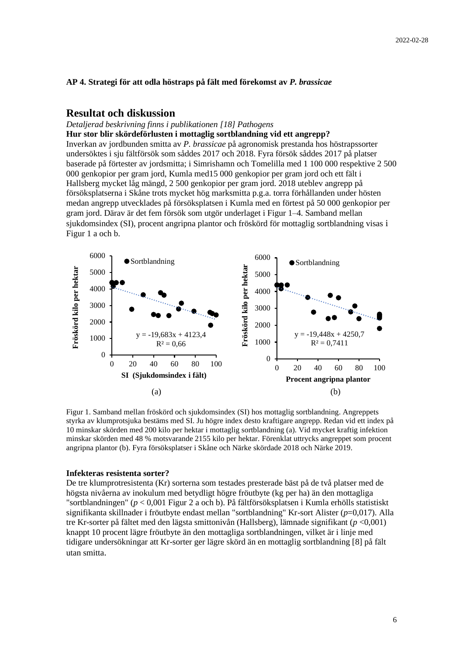## **AP 4. Strategi för att odla höstraps på fält med förekomst av** *P. brassicae*

## **Resultat och diskussion**

## *Detaljerad beskrivning finns i publikationen [18] Pathogens*

**Hur stor blir skördeförlusten i mottaglig sortblandning vid ett angrepp?**

Inverkan av jordbunden smitta av *P. brassicae* på agronomisk prestanda hos höstrapssorter undersöktes i sju fältförsök som såddes 2017 och 2018. Fyra försök såddes 2017 på platser baserade på förtester av jordsmitta; i Simrishamn och Tomelilla med 1 100 000 respektive 2 500 000 genkopior per gram jord, Kumla med15 000 genkopior per gram jord och ett fält i Hallsberg mycket låg mängd, 2 500 genkopior per gram jord. 2018 uteblev angrepp på försöksplatserna i Skåne trots mycket hög marksmitta p.g.a. torra förhållanden under hösten medan angrepp utvecklades på försöksplatsen i Kumla med en förtest på 50 000 genkopior per gram jord. Därav är det fem försök som utgör underlaget i Figur 1–4. Samband mellan sjukdomsindex (SI), procent angripna plantor och fröskörd för mottaglig sortblandning visas i Figur 1 a och b.



Figur 1. Samband mellan fröskörd och sjukdomsindex (SI) hos mottaglig sortblandning. Angreppets styrka av klumprotsjuka bestäms med SI. Ju högre index desto kraftigare angrepp. Redan vid ett index på 10 minskar skörden med 200 kilo per hektar i mottaglig sortblandning (a). Vid mycket kraftig infektion minskar skörden med 48 % motsvarande 2155 kilo per hektar. Förenklat uttrycks angreppet som procent angripna plantor (b). Fyra försöksplatser i Skåne och Närke skördade 2018 och Närke 2019.

#### **Infekteras resistenta sorter?**

De tre klumprotresistenta (Kr) sorterna som testades presterade bäst på de två platser med de högsta nivåerna av inokulum med betydligt högre fröutbyte (kg per ha) än den mottagliga "sortblandningen" (*p* < 0,001 Figur 2 a och b). På fältförsöksplatsen i Kumla erhölls statistiskt signifikanta skillnader i fröutbyte endast mellan "sortblandning" Kr-sort Alister (*p*=0,017). Alla tre Kr-sorter på fältet med den lägsta smittonivån (Hallsberg), lämnade signifikant (*p* <0,001) knappt 10 procent lägre fröutbyte än den mottagliga sortblandningen, vilket är i linje med tidigare undersökningar att Kr-sorter ger lägre skörd än en mottaglig sortblandning [8] på fält utan smitta.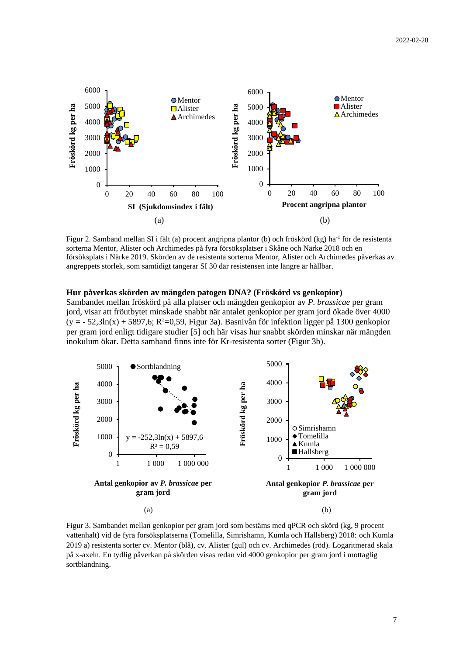

Figur 2. Samband mellan SI i fält (a) procent angripna plantor (b) och fröskörd (kg) ha<sup>-1</sup> för de resistenta sorterna Mentor, Alister och Archimedes på fyra försöksplatser i Skåne och Närke 2018 och en försöksplats i Närke 2019. Skörden av de resistenta sorterna Mentor, Alister och Archimedes påverkas av angreppets storlek, som samtidigt tangerar SI 30 där resistensen inte längre är hållbar.

#### **Hur påverkas skörden av mängden patogen DNA? (Fröskörd vs genkopior)**

Sambandet mellan fröskörd på alla platser och mängden genkopior av *P. brassicae* per gram jord, visar att fröutbytet minskade snabbt när antalet genkopior per gram jord ökade över 4000  $(y = -52,3\ln(x) + 5897,6; R^2=0,59,$  Figur 3a). Basnivån för infektion ligger på 1300 genkopior per gram jord enligt tidigare studier [5] och här visas hur snabbt skörden minskar när mängden inokulum ökar. Detta samband finns inte för Kr-resistenta sorter (Figur 3b).



Figur 3. Sambandet mellan genkopior per gram jord som bestäms med qPCR och skörd (kg, 9 procent vattenhalt) vid de fyra försöksplatserna (Tomelilla, Simrishamn, Kumla och Hallsberg) 2018: och Kumla 2019 a) resistenta sorter cv. Mentor (blå), cv. Alister (gul) och cv. Archimedes (röd). Logaritmerad skala på x-axeln. En tydlig påverkan på skörden visas redan vid 4000 genkopior per gram jord i mottaglig sortblandning.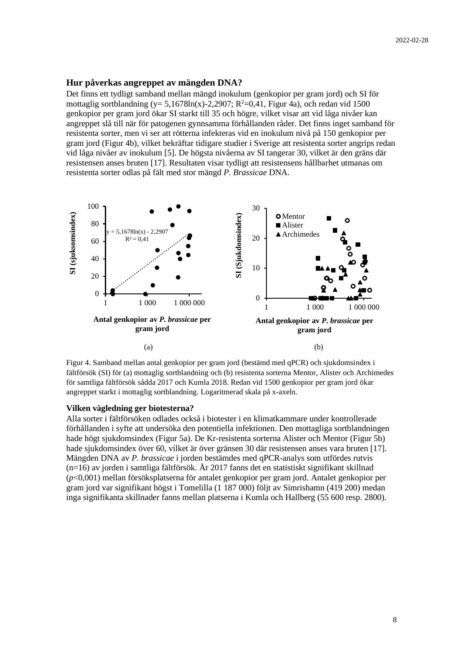### **Hur påverkas angreppet av mängden DNA?**

Det finns ett tydligt samband mellan mängd inokulum (genkopior per gram jord) och SI för mottaglig sortblandning (y=  $5,1678\ln(x)$ -2,2907; R<sup>2</sup>=0,41, Figur 4a), och redan vid 1500 genkopior per gram jord ökar SI starkt till 35 och högre, vilket visar att vid låga nivåer kan angreppet slå till när för patogenen gynnsamma förhållanden råder. Det finns inget samband för resistenta sorter, men vi ser att rötterna infekteras vid en inokulum nivå på 150 genkopior per gram jord (Figur 4b), vilket bekräftar tidigare studier i Sverige att resistenta sorter angrips redan vid låga nivåer av inokulum [5]. De högsta nivåerna av SI tangerar 30, vilket är den gräns där resistensen anses bruten [17]. Resultaten visar tydligt att resistensens hållbarhet utmanas om resistenta sorter odlas på fält med stor mängd *P. Brassicae* DNA.



Figur 4. Samband mellan antal genkopior per gram jord (bestämd med qPCR) och sjukdomsindex i fältförsök (SI) för (a) mottaglig sortblandning och (b) resistenta sorterna Mentor, Alister och Archimedes för samtliga fältförsök sådda 2017 och Kumla 2018. Redan vid 1500 genkopior per gram jord ökar angreppet starkt i mottaglig sortblandning. Logaritmerad skala på x-axeln.

#### **Vilken vägledning ger biotesterna?**

Alla sorter i fältförsöken odlades också i biotester i en klimatkammare under kontrollerade förhållanden i syfte att undersöka den potentiella infektionen. Den mottagliga sortblandningen hade högt sjukdomsindex (Figur 5a). De Kr-resistenta sorterna Alister och Mentor (Figur 5b) hade sjukdomsindex över 60, vilket är över gränsen 30 där resistensen anses vara bruten [17]. Mängden DNA av *P. brassicae* i jorden bestämdes med qPCR-analys som utfördes rutvis (n=16) av jorden i samtliga fältförsök. År 2017 fanns det en statistiskt signifikant skillnad (*p*<0,001) mellan försöksplatserna för antalet genkopior per gram jord. Antalet genkopior per gram jord var signifikant högst i Tomelilla (1 187 000) följt av Simrishamn (419 200) medan inga signifikanta skillnader fanns mellan platserna i Kumla och Hallberg (55 600 resp. 2800).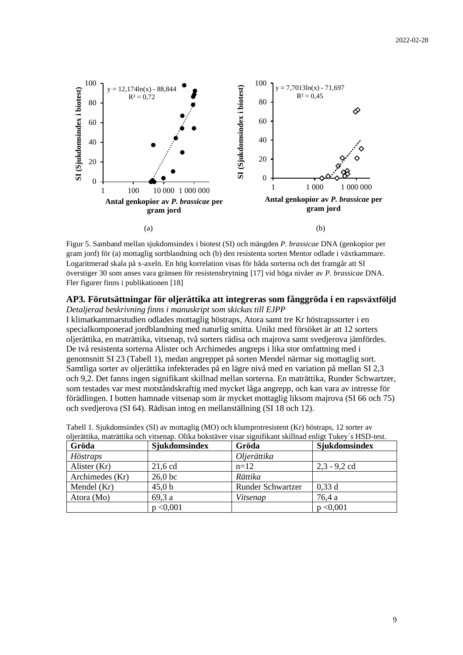

Figur 5. Samband mellan sjukdomsindex i biotest (SI) och mängden *P. brassicae* DNA (genkopior per gram jord) för (a) mottaglig sortblandning och (b) den resistenta sorten Mentor odlade i växtkammare. Logaritmerad skala på x-axeln. En hög korrelation visas för båda sorterna och det framgår att SI överstiger 30 som anses vara gränsen för resistensbrytning [17] vid höga nivåer av *P. brassicae* DNA. Fler figurer finns i publikationen [18]

#### **AP3. Förutsättningar för oljerättika att integreras som fånggröda i en rapsväxtföljd** *Detaljerad beskrivning finns i manuskript som skickas till EJPP*

I klimatkammarstudien odlades mottaglig höstraps, Atora samt tre Kr höstrapssorter i en specialkomponerad jordblandning med naturlig smitta. Unikt med försöket är att 12 sorters oljerättika, en maträttika, vitsenap, två sorters rädisa och majrova samt svedjerova jämfördes. De två resistenta sorterna Alister och Archimedes angreps i lika stor omfattning med i genomsnitt SI 23 (Tabell 1), medan angreppet på sorten Mendel närmar sig mottaglig sort. Samtliga sorter av oljerättika infekterades på en lägre nivå med en variation på mellan SI 2,3 och 9,2. Det fanns ingen signifikant skillnad mellan sorterna. En maträttika, Runder Schwartzer, som testades var mest motståndskraftig med mycket låga angrepp, och kan vara av intresse för förädlingen. I botten hamnade vitsenap som är mycket mottaglig liksom majrova (SI 66 och 75) och svedjerova (SI 64). Rädisan intog en mellanställning (SI 18 och 12).

| Gröda           | Sjukdomsindex      | Gröda                    | Sjukdomsindex  |
|-----------------|--------------------|--------------------------|----------------|
| Höstraps        |                    | Oljerättika              |                |
| Alister $(Kr)$  | $21,6$ cd          | $n=12$                   | $2,3 - 9,2$ cd |
| Archimedes (Kr) | 26.0 <sub>bc</sub> | Rättika                  |                |
| Mendel $(Kr)$   | 45,0 b             | <b>Runder Schwartzer</b> | $0,33$ d       |
| Atora (Mo)      | 69,3 a             | Vitsenap                 | 76,4 a         |
|                 | p < 0,001          |                          | p < 0.001      |

Tabell 1. Sjukdomsindex (SI) av mottaglig (MO) och klumprotresistent (Kr) höstraps, 12 sorter av oljerättika, maträttika och vitsenap. Olika bokstäver visar signifikant skillnad enligt Tukey´s HSD-test.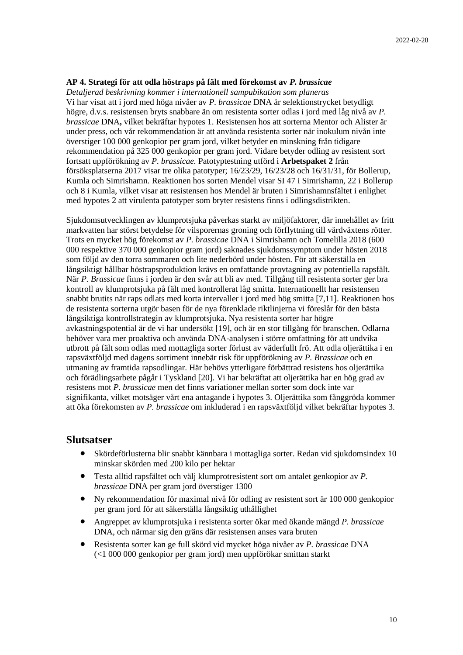## **AP 4. Strategi för att odla höstraps på fält med förekomst av** *P. brassicae*

*Detaljerad beskrivning kommer i internationell sampubikation som planeras* Vi har visat att i jord med höga nivåer av *P. brassicae* DNA är selektionstrycket betydligt högre, d.v.s. resistensen bryts snabbare än om resistenta sorter odlas i jord med låg nivå av *P. brassicae* DNA**,** vilket bekräftar hypotes 1. Resistensen hos att sorterna Mentor och Alister är under press, och vår rekommendation är att använda resistenta sorter när inokulum nivån inte överstiger 100 000 genkopior per gram jord, vilket betyder en minskning från tidigare rekommendation på 325 000 genkopior per gram jord. Vidare betyder odling av resistent sort fortsatt uppförökning av *P. brassicae.* Patotyptestning utförd i **Arbetspaket 2** från försöksplatserna 2017 visar tre olika patotyper; 16/23/29, 16/23/28 och 16/31/31, för Bollerup, Kumla och Simrishamn. Reaktionen hos sorten Mendel visar SI 47 i Simrishamn, 22 i Bollerup och 8 i Kumla, vilket visar att resistensen hos Mendel är bruten i Simrishamnsfältet i enlighet med hypotes 2 att virulenta patotyper som bryter resistens finns i odlingsdistrikten.

Sjukdomsutvecklingen av klumprotsjuka påverkas starkt av miljöfaktorer, där innehållet av fritt markvatten har störst betydelse för vilsporernas groning och förflyttning till värdväxtens rötter. Trots en mycket hög förekomst av *P. brassicae* DNA i Simrishamn och Tomelilla 2018 (600 000 respektive 370 000 genkopior gram jord) saknades sjukdomssymptom under hösten 2018 som följd av den torra sommaren och lite nederbörd under hösten. För att säkerställa en långsiktigt hållbar höstrapsproduktion krävs en omfattande provtagning av potentiella rapsfält. När *P. Brassicae* finns i jorden är den svår att bli av med. Tillgång till resistenta sorter ger bra kontroll av klumprotsjuka på fält med kontrollerat låg smitta. Internationellt har resistensen snabbt brutits när raps odlats med korta intervaller i jord med hög smitta [7,11]. Reaktionen hos de resistenta sorterna utgör basen för de nya förenklade riktlinjerna vi föreslår för den bästa långsiktiga kontrollstrategin av klumprotsjuka. Nya resistenta sorter har högre avkastningspotential är de vi har undersökt [19], och är en stor tillgång för branschen. Odlarna behöver vara mer proaktiva och använda DNA-analysen i större omfattning för att undvika utbrott på fält som odlas med mottagliga sorter förlust av väderfullt frö. Att odla oljerättika i en rapsväxtföljd med dagens sortiment innebär risk för uppförökning av *P. Brassicae* och en utmaning av framtida rapsodlingar. Här behövs ytterligare förbättrad resistens hos oljerättika och förädlingsarbete pågår i Tyskland [20]. Vi har bekräftat att oljerättika har en hög grad av resistens mot *P. brassicae* men det finns variationer mellan sorter som dock inte var signifikanta, vilket motsäger vårt ena antagande i hypotes 3. Oljerättika som fånggröda kommer att öka förekomsten av *P. brassicae* om inkluderad i en rapsväxtföljd vilket bekräftar hypotes 3.

## **Slutsatser**

- Skördeförlusterna blir snabbt kännbara i mottagliga sorter. Redan vid sjukdomsindex 10 minskar skörden med 200 kilo per hektar
- Testa alltid rapsfältet och välj klumprotresistent sort om antalet genkopior av *P. brassicae* DNA per gram jord överstiger 1300
- Ny rekommendation för maximal nivå för odling av resistent sort är 100 000 genkopior per gram jord för att säkerställa långsiktig uthållighet
- Angreppet av klumprotsjuka i resistenta sorter ökar med ökande mängd *P. brassicae* DNA, och närmar sig den gräns där resistensen anses vara bruten
- Resistenta sorter kan ge full skörd vid mycket höga nivåer av *P. brassicae* DNA (<1 000 000 genkopior per gram jord) men uppförökar smittan starkt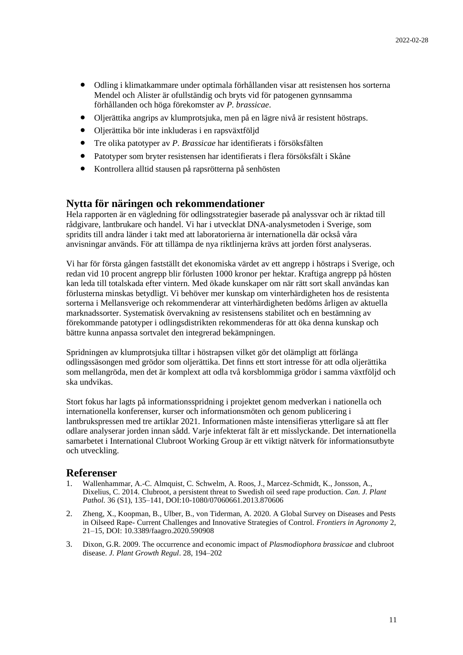- Odling i klimatkammare under optimala förhållanden visar att resistensen hos sorterna Mendel och Alister är ofullständig och bryts vid för patogenen gynnsamma förhållanden och höga förekomster av *P. brassicae*.
- Oljerättika angrips av klumprotsjuka, men på en lägre nivå är resistent höstraps.
- Oljerättika bör inte inkluderas i en rapsväxtföljd
- Tre olika patotyper av *P. Brassicae* har identifierats i försöksfälten
- Patotyper som bryter resistensen har identifierats i flera försöksfält i Skåne
- Kontrollera alltid stausen på rapsrötterna på senhösten

## **Nytta för näringen och rekommendationer**

Hela rapporten är en vägledning för odlingsstrategier baserade på analyssvar och är riktad till rådgivare, lantbrukare och handel. Vi har i utvecklat DNA-analysmetoden i Sverige, som spridits till andra länder i takt med att laboratorierna är internationella där också våra anvisningar används. För att tillämpa de nya riktlinjerna krävs att jorden först analyseras.

Vi har för första gången fastställt det ekonomiska värdet av ett angrepp i höstraps i Sverige, och redan vid 10 procent angrepp blir förlusten 1000 kronor per hektar. Kraftiga angrepp på hösten kan leda till totalskada efter vintern. Med ökade kunskaper om när rätt sort skall användas kan förlusterna minskas betydligt. Vi behöver mer kunskap om vinterhärdigheten hos de resistenta sorterna i Mellansverige och rekommenderar att vinterhärdigheten bedöms årligen av aktuella marknadssorter. Systematisk övervakning av resistensens stabilitet och en bestämning av förekommande patotyper i odlingsdistrikten rekommenderas för att öka denna kunskap och bättre kunna anpassa sortvalet den integrerad bekämpningen.

Spridningen av klumprotsjuka tilltar i höstrapsen vilket gör det olämpligt att förlänga odlingssäsongen med grödor som oljerättika. Det finns ett stort intresse för att odla oljerättika som mellangröda, men det är komplext att odla två korsblommiga grödor i samma växtföljd och ska undvikas.

Stort fokus har lagts på informationsspridning i projektet genom medverkan i nationella och internationella konferenser, kurser och informationsmöten och genom publicering i lantbrukspressen med tre artiklar 2021. Informationen måste intensifieras ytterligare så att fler odlare analyserar jorden innan sådd. Varje infekterat fält är ett misslyckande. Det internationella samarbetet i International Clubroot Working Group är ett viktigt nätverk för informationsutbyte och utveckling.

## **Referenser**

- 1. Wallenhammar, A.-C. Almquist, C. Schwelm, A. Roos, J., Marcez-Schmidt, K., Jonsson, A., Dixelius, C. 2014. Clubroot, a persistent threat to Swedish oil seed rape production. *Can. J. Plant Pathol.* 36 (S1), 135–141, DOI:10-1080/07060661.2013.870606
- 2. Zheng, X., Koopman, B., Ulber, B., von Tiderman, A. 2020. A Global Survey on Diseases and Pests in Oilseed Rape- Current Challenges and Innovative Strategies of Control. *Frontiers in Agronomy* 2, 21–15, DOI: 10.3389/faagro.2020.590908
- 3. Dixon, G.R. 2009. The occurrence and economic impact of *Plasmodiophora brassicae* and clubroot disease. *J. Plant Growth Regul*. 28, 194–202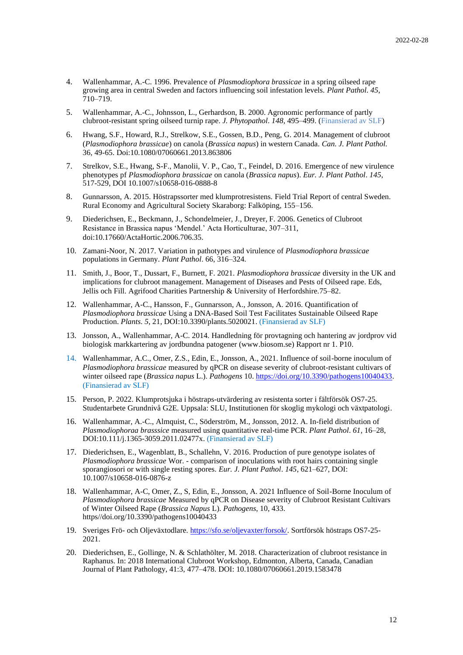- 4. Wallenhammar, A.-C. 1996. Prevalence of *Plasmodiophora brassicae* in a spring oilseed rape growing area in central Sweden and factors influencing soil infestation levels. *Plant Pathol*. *45*, 710–719.
- 5. Wallenhammar, A.-C., Johnsson, L., Gerhardson, B. 2000. Agronomic performance of partly clubroot-resistant spring oilseed turnip rape. *J. Phytopathol*. *148*, 495–499. (Finansierad av SLF)
- 6. Hwang, S.F., Howard, R.J., Strelkow, S.E., Gossen, B.D., Peng, G. 2014. Management of clubroot (*Plasmodiophora brassicae*) on canola (*Brassica napus*) in western Canada. *Can. J. Plant Pathol.* 36, 49-65. Doi:10.1080/07060661.2013.863806
- 7. Strelkov, S.E., Hwang, S-F., Manolii, V. P., Cao, T., Feindel, D. 2016. Emergence of new virulence phenotypes pf *Plasmodiophora brassicae* on canola (*Brassica napus*). *Eur. J. Plant Pathol*. *145*, 517-529, DOI 10.1007/s10658-016-0888-8
- 8. Gunnarsson, A. 2015. Höstrapssorter med klumprotresistens. Field Trial Report of central Sweden. Rural Economy and Agricultural Society Skaraborg: Falköping, 155–156.
- 9. Diederichsen, E., Beckmann, J., Schondelmeier, J., Dreyer, F. 2006. Genetics of Clubroot Resistance in Brassica napus 'Mendel.' Acta Horticulturae, 307–311, doi:10.17660/ActaHortic.2006.706.35.
- 10. Zamani-Noor, N. 2017. Variation in pathotypes and virulence of *Plasmodiophora brassicae* populations in Germany. *Plant Pathol*. 66, 316–324.
- 11. Smith, J., Boor, T., Dussart, F., Burnett, F. 2021. *Plasmodiophora brassicae* diversity in the UK and implications for clubroot management. Management of Diseases and Pests of Oilseed rape. Eds, Jellis och Fill. Agrifood Charities Partnership & University of Herfordshire.75–82.
- 12. Wallenhammar, A-C., Hansson, F., Gunnarsson, A., Jonsson, A. 2016. Quantification of *Plasmodiophora brassicae* Using a DNA-Based Soil Test Facilitates Sustainable Oilseed Rape Production. *Plants*. *5*, 21, DOI:10.3390/plants.5020021. (Finansierad av SLF)
- 13. Jonsson, A., Wallenhammar, A-C. 2014. Handledning för provtagning och hantering av jordprov vid biologisk markkartering av jordbundna patogener (www.biosom.se) Rapport nr 1. P10.
- 14. Wallenhammar, A.C., Omer, Z.S., Edin, E., Jonsson, A., 2021. Influence of soil-borne inoculum of *Plasmodiophora brassicae* measured by qPCR on disease severity of clubroot-resistant cultivars of winter oilseed rape (*Brassica napus* L.). *Pathogens* 10. [https://doi.org/10.3390/pathogens10040433.](https://doi.org/10.3390/pathogens10040433) (Finansierad av SLF)
- 15. Person, P. 2022. Klumprotsjuka i höstraps-utvärdering av resistenta sorter i fältförsök OS7-25. Studentarbete Grundnivå G2E. Uppsala: SLU, Institutionen för skoglig mykologi och växtpatologi.
- 16. Wallenhammar, A.-C., Almquist, C., Söderström, M., Jonsson, 2012. A. In-field distribution of *Plasmodiophoraa brasssice* measured using quantitative real-time PCR. *Plant Pathol*. *61,* 16–28, DOI:10.111/j.1365-3059.2011.02477x. (Finansierad av SLF)
- 17. Diederichsen, E., Wagenblatt, B., Schallehn, V. 2016. Production of pure genotype isolates of *Plasmodiophora brassicae* Wor. - comparison of inoculations with root hairs containing single sporangiosori or with single resting spores. *Eur. J. Plant Pathol*. *145*, 621–627, DOI: 10.1007/s10658-016-0876-z
- 18. Wallenhammar, A-C, Omer, Z., S, Edin, E., Jonsson, A. 2021 Influence of Soil-Borne Inoculum of *Plasmodiophora brassicae* Measured by qPCR on Disease severity of Clubroot Resistant Cultivars of Winter Oilseed Rape (*Brassica Napus* L). *Pathogens*, 10, 433. https//doi.org/10.3390/pathogens10040433
- 19. Sveriges Frö- och Oljeväxtodlare. [https://sfo.se/oljevaxter/forsok/.](https://sfo.se/oljevaxter/forsok/) Sortförsök höstraps OS7-25- 2021.
- 20. Diederichsen, E., Gollinge, N. & Schlathölter, M. 2018. Characterization of clubroot resistance in Raphanus. In: 2018 International Clubroot Workshop, Edmonton, Alberta, Canada, Canadian Journal of Plant Pathology, 41:3, 477–478. DOI: 10.1080/07060661.2019.1583478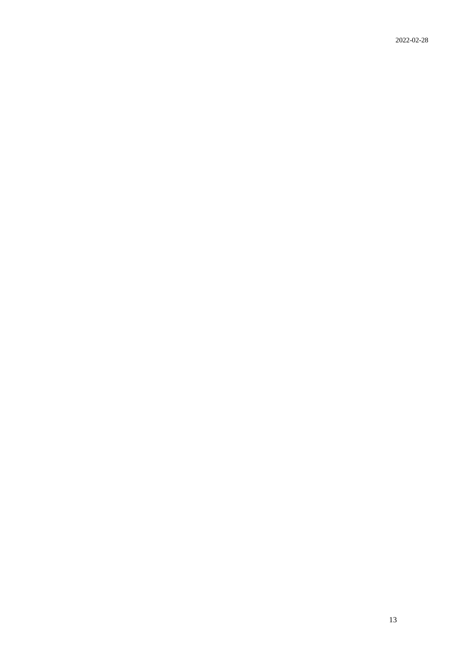2022-02-28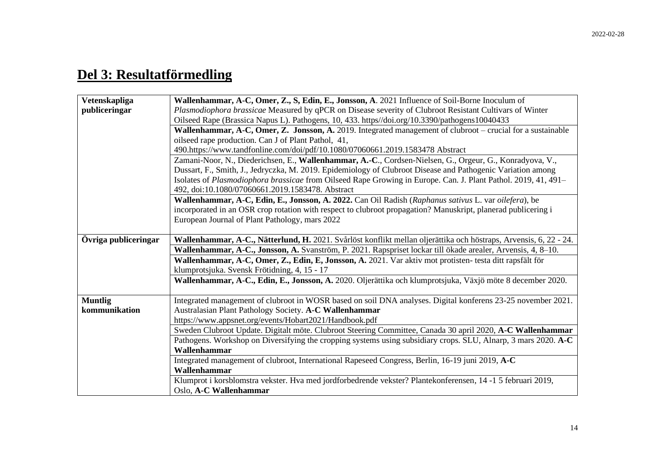# **Del 3: Resultatförmedling**

| Wallenhammar, A-C, Omer, Z., S, Edin, E., Jonsson, A. 2021 Influence of Soil-Borne Inoculum of                    |  |  |  |
|-------------------------------------------------------------------------------------------------------------------|--|--|--|
| Plasmodiophora brassicae Measured by qPCR on Disease severity of Clubroot Resistant Cultivars of Winter           |  |  |  |
| Oilseed Rape (Brassica Napus L). Pathogens, 10, 433. https//doi.org/10.3390/pathogens10040433                     |  |  |  |
| Wallenhammar, A-C, Omer, Z. Jonsson, A. 2019. Integrated management of clubroot – crucial for a sustainable       |  |  |  |
| oilseed rape production. Can J of Plant Pathol, 41,                                                               |  |  |  |
| 490.https://www.tandfonline.com/doi/pdf/10.1080/07060661.2019.1583478 Abstract                                    |  |  |  |
| Zamani-Noor, N., Diederichsen, E., Wallenhammar, A.-C., Cordsen-Nielsen, G., Orgeur, G., Konradyova, V.,          |  |  |  |
| Dussart, F., Smith, J., Jedryczka, M. 2019. Epidemiology of Clubroot Disease and Pathogenic Variation among       |  |  |  |
| Isolates of Plasmodiophora brassicae from Oilseed Rape Growing in Europe. Can. J. Plant Pathol. 2019, 41, 491–    |  |  |  |
| 492, doi:10.1080/07060661.2019.1583478. Abstract                                                                  |  |  |  |
| Wallenhammar, A-C, Edin, E., Jonsson, A. 2022. Can Oil Radish (Raphanus sativus L. var oilefera), be              |  |  |  |
| incorporated in an OSR crop rotation with respect to clubroot propagation? Manuskript, planerad publicering i     |  |  |  |
| European Journal of Plant Pathology, mars 2022                                                                    |  |  |  |
|                                                                                                                   |  |  |  |
| Wallenhammar, A-C., Nätterlund, H. 2021. Svårlöst konflikt mellan oljerättika och höstraps, Arvensis, 6, 22 - 24. |  |  |  |
| Wallenhammar, A-C., Jonsson, A. Svanström, P. 2021. Rapspriset lockar till ökade arealer, Arvensis, 4, 8-10.      |  |  |  |
| Wallenhammar, A-C, Omer, Z., Edin, E, Jonsson, A. 2021. Var aktiv mot protisten- testa ditt rapsfält för          |  |  |  |
| klumprotsjuka. Svensk Frötidning, 4, 15 - 17                                                                      |  |  |  |
| Wallenhammar, A-C., Edin, E., Jonsson, A. 2020. Oljerättika och klumprotsjuka, Växjö möte 8 december 2020.        |  |  |  |
| Integrated management of clubroot in WOSR based on soil DNA analyses. Digital konferens 23-25 november 2021.      |  |  |  |
| Australasian Plant Pathology Society. A-C Wallenhammar                                                            |  |  |  |
| https://www.appsnet.org/events/Hobart2021/Handbook.pdf                                                            |  |  |  |
| Sweden Clubroot Update. Digitalt möte. Clubroot Steering Committee, Canada 30 april 2020, A-C Wallenhammar        |  |  |  |
| Pathogens. Workshop on Diversifying the cropping systems using subsidiary crops. SLU, Alnarp, 3 mars 2020. A-C    |  |  |  |
| Wallenhammar                                                                                                      |  |  |  |
| Integrated management of clubroot, International Rapeseed Congress, Berlin, 16-19 juni 2019, A-C                  |  |  |  |
| Wallenhammar                                                                                                      |  |  |  |
| Klumprot i korsblomstra vekster. Hva med jordforbedrende vekster? Plantekonferensen, 14 -1 5 februari 2019,       |  |  |  |
| Oslo, A-C Wallenhammar                                                                                            |  |  |  |
|                                                                                                                   |  |  |  |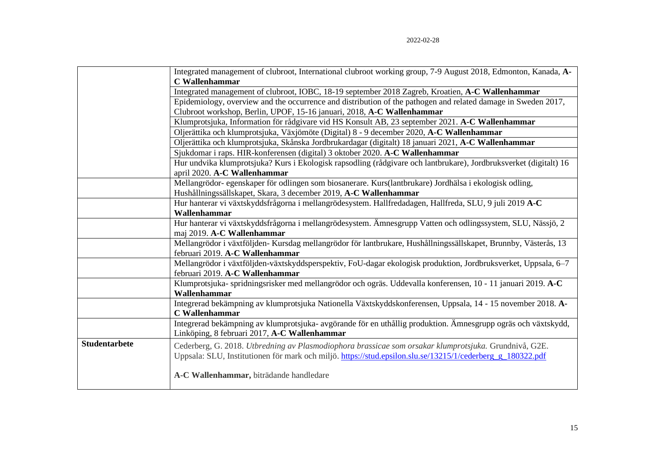2022-02-28

|                      | Integrated management of clubroot, International clubroot working group, 7-9 August 2018, Edmonton, Kanada, A-    |  |  |
|----------------------|-------------------------------------------------------------------------------------------------------------------|--|--|
|                      | <b>C</b> Wallenhammar                                                                                             |  |  |
|                      | Integrated management of clubroot, IOBC, 18-19 september 2018 Zagreb, Kroatien, A-C Wallenhammar                  |  |  |
|                      | Epidemiology, overview and the occurrence and distribution of the pathogen and related damage in Sweden 2017,     |  |  |
|                      | Clubroot workshop, Berlin, UPOF, 15-16 januari, 2018, A-C Wallenhammar                                            |  |  |
|                      | Klumprotsjuka, Information för rådgivare vid HS Konsult AB, 23 september 2021. A-C Wallenhammar                   |  |  |
|                      | Oljerättika och klumprotsjuka, Växjömöte (Digital) 8 - 9 december 2020, A-C Wallenhammar                          |  |  |
|                      | Oljerättika och klumprotsjuka, Skånska Jordbrukardagar (digitalt) 18 januari 2021, A-C Wallenhammar               |  |  |
|                      | Sjukdomar i raps. HIR-konferensen (digital) 3 oktober 2020. A-C Wallenhammar                                      |  |  |
|                      | Hur undvika klumprotsjuka? Kurs i Ekologisk rapsodling (rådgivare och lantbrukare), Jordbruksverket (digitalt) 16 |  |  |
|                      | april 2020. A-C Wallenhammar                                                                                      |  |  |
|                      | Mellangrödor- egenskaper för odlingen som biosanerare. Kurs(lantbrukare) Jordhälsa i ekologisk odling,            |  |  |
|                      | Hushållningssällskapet, Skara, 3 december 2019, A-C Wallenhammar                                                  |  |  |
|                      | Hur hanterar vi växtskyddsfrågorna i mellangrödesystem. Hallfredadagen, Hallfreda, SLU, 9 juli 2019 A-C           |  |  |
|                      | Wallenhammar                                                                                                      |  |  |
|                      | Hur hanterar vi växtskyddsfrågorna i mellangrödesystem. Ämnesgrupp Vatten och odlingssystem, SLU, Nässjö, 2       |  |  |
|                      | maj 2019. A-C Wallenhammar                                                                                        |  |  |
|                      | Mellangrödor i växtföljden- Kursdag mellangrödor för lantbrukare, Hushållningssällskapet, Brunnby, Västerås, 13   |  |  |
|                      | februari 2019. A-C Wallenhammar                                                                                   |  |  |
|                      | Mellangrödor i växtföljden-växtskyddsperspektiv, FoU-dagar ekologisk produktion, Jordbruksverket, Uppsala, 6–7    |  |  |
|                      | februari 2019. A-C Wallenhammar                                                                                   |  |  |
|                      | Klumprotsjuka- spridningsrisker med mellangrödor och ogräs. Uddevalla konferensen, 10 - 11 januari 2019. A-C      |  |  |
|                      | Wallenhammar                                                                                                      |  |  |
|                      | Integrerad bekämpning av klumprotsjuka Nationella Växtskyddskonferensen, Uppsala, 14 - 15 november 2018. A-       |  |  |
|                      | <b>C</b> Wallenhammar                                                                                             |  |  |
|                      | Integrerad bekämpning av klumprotsjuka- avgörande för en uthållig produktion. Ämnesgrupp ogräs och växtskydd,     |  |  |
| <b>Studentarbete</b> | Linköping, 8 februari 2017, A-C Wallenhammar                                                                      |  |  |
|                      | Cederberg, G. 2018. Utbredning av Plasmodiophora brassicae som orsakar klumprotsjuka. Grundnivå, G2E.             |  |  |
|                      | Uppsala: SLU, Institutionen för mark och miljö. https://stud.epsilon.slu.se/13215/1/cederberg_g_180322.pdf        |  |  |
|                      |                                                                                                                   |  |  |
|                      | A-C Wallenhammar, biträdande handledare                                                                           |  |  |
|                      |                                                                                                                   |  |  |